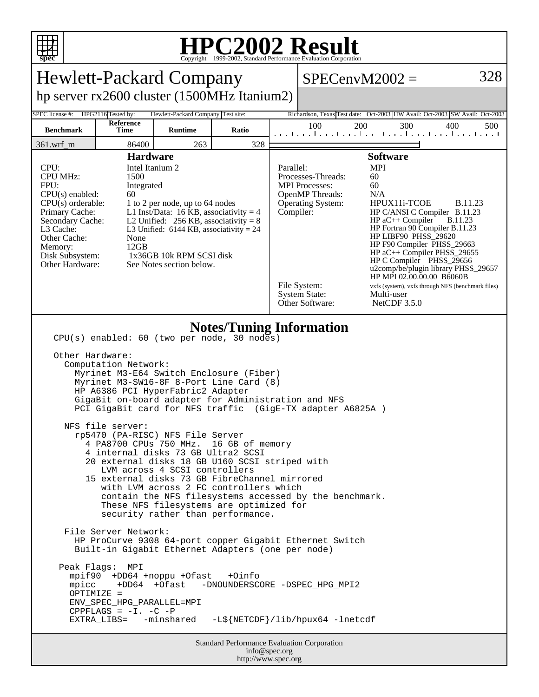

## **HPC2002 Result**

| <b>Hewlett-Packard Company</b>                                                                                                                                                                                                                                                                                                                                                                                                                                                                                                                                                                                                                                                                                                                                                                                                                                                                                                                                                                                                                                                                                                                                                                                                                                                       |                                                |                                                      |       |  |                                                                                                                                                                                                                                                                                                                                                                                                                                                                                                                                                                                                                    | $SPECenvM2002 =$                                                                          | 328        |  |  |
|--------------------------------------------------------------------------------------------------------------------------------------------------------------------------------------------------------------------------------------------------------------------------------------------------------------------------------------------------------------------------------------------------------------------------------------------------------------------------------------------------------------------------------------------------------------------------------------------------------------------------------------------------------------------------------------------------------------------------------------------------------------------------------------------------------------------------------------------------------------------------------------------------------------------------------------------------------------------------------------------------------------------------------------------------------------------------------------------------------------------------------------------------------------------------------------------------------------------------------------------------------------------------------------|------------------------------------------------|------------------------------------------------------|-------|--|--------------------------------------------------------------------------------------------------------------------------------------------------------------------------------------------------------------------------------------------------------------------------------------------------------------------------------------------------------------------------------------------------------------------------------------------------------------------------------------------------------------------------------------------------------------------------------------------------------------------|-------------------------------------------------------------------------------------------|------------|--|--|
| hp server rx2600 cluster (1500MHz Itanium2)                                                                                                                                                                                                                                                                                                                                                                                                                                                                                                                                                                                                                                                                                                                                                                                                                                                                                                                                                                                                                                                                                                                                                                                                                                          |                                                |                                                      |       |  |                                                                                                                                                                                                                                                                                                                                                                                                                                                                                                                                                                                                                    |                                                                                           |            |  |  |
| SPEC license #:<br><b>Benchmark</b>                                                                                                                                                                                                                                                                                                                                                                                                                                                                                                                                                                                                                                                                                                                                                                                                                                                                                                                                                                                                                                                                                                                                                                                                                                                  | HPG2116 Tested by:<br><b>Reference</b><br>Time | Hewlett-Packard Company Test site:<br><b>Runtime</b> | Ratio |  | 100                                                                                                                                                                                                                                                                                                                                                                                                                                                                                                                                                                                                                | Richardson, Texas Test date: Oct-2003 HW Avail: Oct-2003 SW Avail: Oct-2003<br>300<br>200 | 400<br>500 |  |  |
| $361.wrf_m$                                                                                                                                                                                                                                                                                                                                                                                                                                                                                                                                                                                                                                                                                                                                                                                                                                                                                                                                                                                                                                                                                                                                                                                                                                                                          | 86400                                          | 263                                                  | 328   |  |                                                                                                                                                                                                                                                                                                                                                                                                                                                                                                                                                                                                                    | المتعمل ويتمار وتماريتها وتتبارد بالمتوارد ومارو والمتواردة                               |            |  |  |
| <b>Hardware</b><br>Intel Itanium 2<br>CPU:<br><b>CPU MHz:</b><br>1500<br>FPU:<br>Integrated<br>$CPU(s)$ enabled:<br>60<br>$CPU(s)$ orderable:<br>1 to 2 per node, up to 64 nodes<br>Primary Cache:<br>L1 Inst/Data: 16 KB, associativity = $4$<br>L2 Unified: $256$ KB, associativity = 8<br>Secondary Cache:<br>L3 Cache:<br>L3 Unified: $6144$ KB, associativity = 24<br>Other Cache:<br>None<br>12GB<br>Memory:<br>1x36GB 10k RPM SCSI disk<br>Disk Subsystem:<br>Other Hardware:<br>See Notes section below.                                                                                                                                                                                                                                                                                                                                                                                                                                                                                                                                                                                                                                                                                                                                                                     |                                                |                                                      |       |  | <b>Software</b><br><b>MPI</b><br>Parallel:<br>Processes-Threads:<br>60<br><b>MPI</b> Processes:<br>60<br><b>OpenMP</b> Threads:<br>N/A<br>Operating System:<br>HPUX11i-TCOE<br><b>B.11.23</b><br>Compiler:<br>HP C/ANSI C Compiler B.11.23<br>HP aC++ Compiler<br><b>B.11.23</b><br>HP Fortran 90 Compiler B.11.23<br>HP LIBF90 PHSS 29620<br>HP F90 Compiler PHSS_29663<br>HP aC++ Compiler PHSS_29655<br>HP C Compiler PHSS_29656<br>u2comp/be/plugin library PHSS_29657<br>HP MPI 02.00.00.00 B6060B<br>File System:<br>vxfs (system), vxfs through NFS (benchmark files)<br><b>System State:</b><br>Multi-user |                                                                                           |            |  |  |
| Other Software:<br>NetCDF 3.5.0<br><b>Notes/Tuning Information</b><br>CPU(s) enabled: 60 (two per node, 30 nodes)<br>Other Hardware:<br>Computation Network:<br>Myrinet M3-E64 Switch Enclosure (Fiber)<br>Myrinet M3-SW16-8F 8-Port Line Card (8)<br>HP A6386 PCI HyperFabric2 Adapter<br>GigaBit on-board adapter for Administration and NFS<br>PCI GigaBit card for NFS traffic (GigE-TX adapter A6825A)<br>NFS file server:<br>rp5470 (PA-RISC) NFS File Server<br>4 PA8700 CPUs 750 MHz.<br>16 GB of memory<br>4 internal disks 73 GB Ultra2 SCSI<br>20 external disks 18 GB U160 SCSI striped with<br>LVM across 4 SCSI controllers<br>15 external disks 73 GB FibreChannel mirrored<br>with LVM across 2 FC controllers which<br>contain the NFS filesystems accessed by the benchmark.<br>These NFS filesystems are optimized for<br>security rather than performance.<br>File Server Network:<br>HP ProCurve 9308 64-port copper Gigabit Ethernet Switch<br>Built-in Gigabit Ethernet Adapters (one per node)<br>Peak Flags:<br>MPI<br>mpif90 +DD64 +noppu +Ofast<br>$+Oinfo$<br>+DD64 +Ofast<br>mpicc<br>-DNOUNDERSCORE -DSPEC_HPG_MPI2<br>OPTIMIZE =<br>ENV_SPEC_HPG_PARALLEL=MPI<br>CPPFLAGS = $-I. -C$ -P<br>-L\${NETCDF}/lib/hpux64 -lnetcdf<br>EXTRA LIBS= -minshared |                                                |                                                      |       |  |                                                                                                                                                                                                                                                                                                                                                                                                                                                                                                                                                                                                                    |                                                                                           |            |  |  |
| <b>Standard Performance Evaluation Corporation</b><br>info@spec.org<br>http://www.spec.org                                                                                                                                                                                                                                                                                                                                                                                                                                                                                                                                                                                                                                                                                                                                                                                                                                                                                                                                                                                                                                                                                                                                                                                           |                                                |                                                      |       |  |                                                                                                                                                                                                                                                                                                                                                                                                                                                                                                                                                                                                                    |                                                                                           |            |  |  |